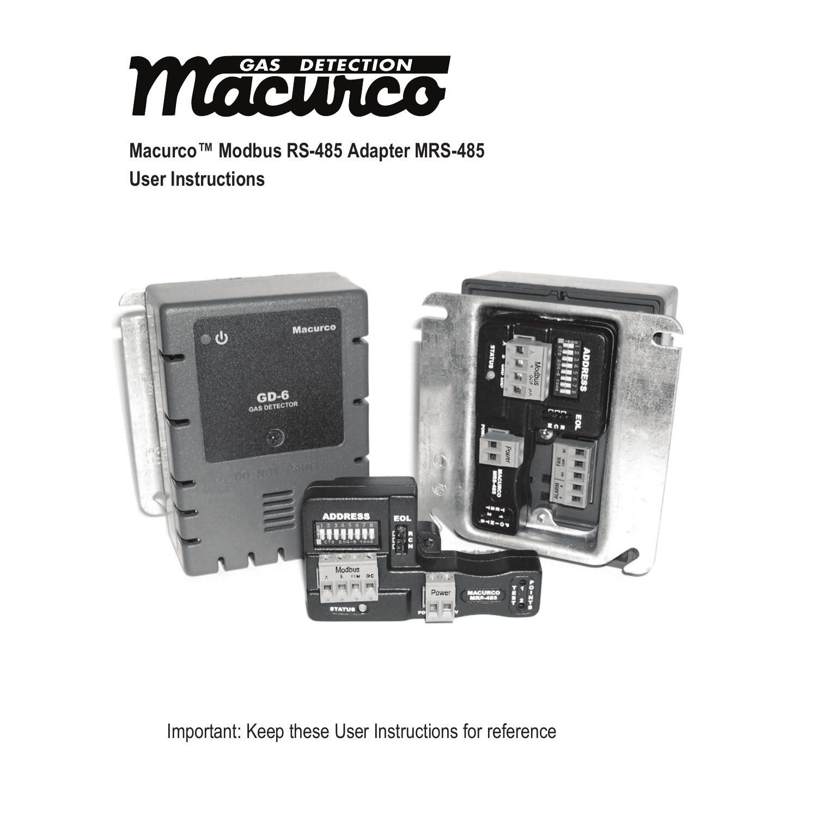

# **Macurco™ Modbus RS-485 Adapter MRS-485 User Instructions**



Important: Keep these User Instructions for reference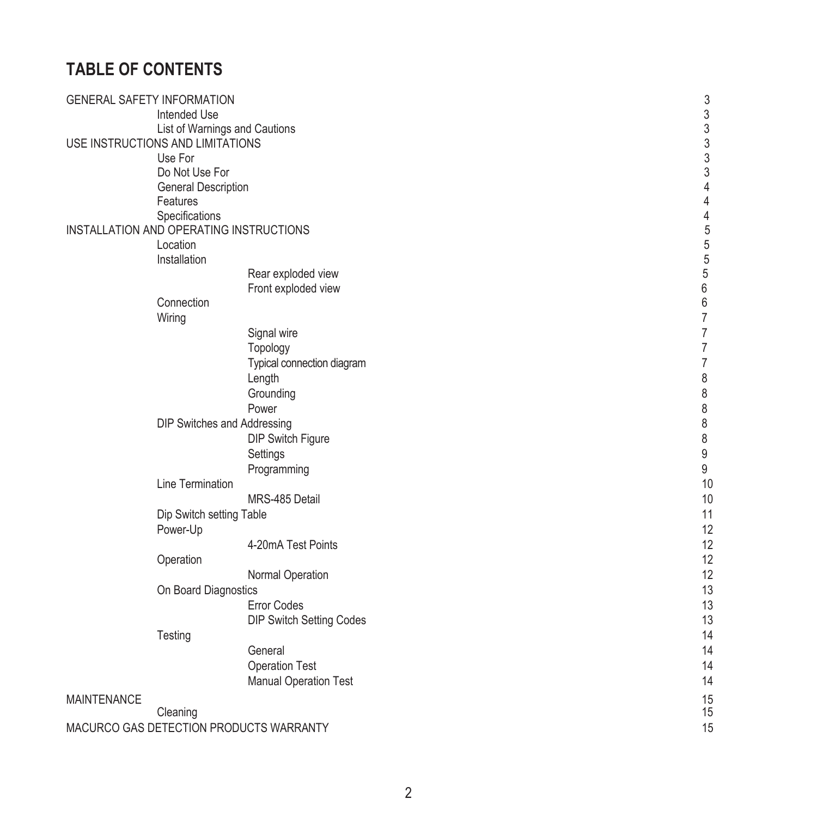# **TABLE OF CONTENTS**

| <b>GENERAL SAFETY INFORMATION</b> |                                         | 3              |
|-----------------------------------|-----------------------------------------|----------------|
|                                   | Intended Use                            | $\frac{3}{3}$  |
|                                   | List of Warnings and Cautions           |                |
| USE INSTRUCTIONS AND LIMITATIONS  |                                         | 3              |
| Use For                           |                                         | 3              |
|                                   | Do Not Use For                          | 3              |
|                                   | General Description                     | $\overline{4}$ |
|                                   | Features                                | $\overline{4}$ |
|                                   | Specifications                          | $\overline{4}$ |
|                                   | INSTALLATION AND OPERATING INSTRUCTIONS | 5              |
| Location                          |                                         | 5              |
|                                   | Installation                            | $\frac{5}{5}$  |
|                                   | Rear exploded view                      |                |
|                                   | Front exploded view                     | 6              |
|                                   | Connection                              | 6              |
| Wiring                            |                                         | $\overline{7}$ |
|                                   | Signal wire                             | $\overline{7}$ |
|                                   | Topology                                | $\overline{7}$ |
|                                   | Typical connection diagram              | $\overline{7}$ |
|                                   | Length                                  | 8              |
|                                   | Grounding                               | 8              |
|                                   | Power                                   | 8              |
|                                   | DIP Switches and Addressing             | 8              |
|                                   | DIP Switch Figure                       | 8              |
|                                   | Settings                                | 9              |
|                                   | Programming                             | 9              |
|                                   | Line Termination                        | 10             |
|                                   | MRS-485 Detail                          | 10             |
|                                   | Dip Switch setting Table                | 11             |
|                                   | Power-Up                                | 12             |
|                                   | 4-20mA Test Points                      | 12             |
|                                   | Operation                               | 12             |
|                                   | Normal Operation                        | 12             |
|                                   | On Board Diagnostics                    | 13             |
|                                   | <b>Error Codes</b>                      | 13             |
|                                   | DIP Switch Setting Codes                | 13             |
| Testing                           |                                         | 14             |
|                                   | General                                 | 14             |
|                                   | <b>Operation Test</b>                   | 14             |
|                                   | Manual Operation Test                   | 14             |
| <b>MAINTENANCE</b>                |                                         | 15             |
| Cleaning                          |                                         | 15             |
|                                   | MACURCO GAS DETECTION PRODUCTS WARRANTY | 15             |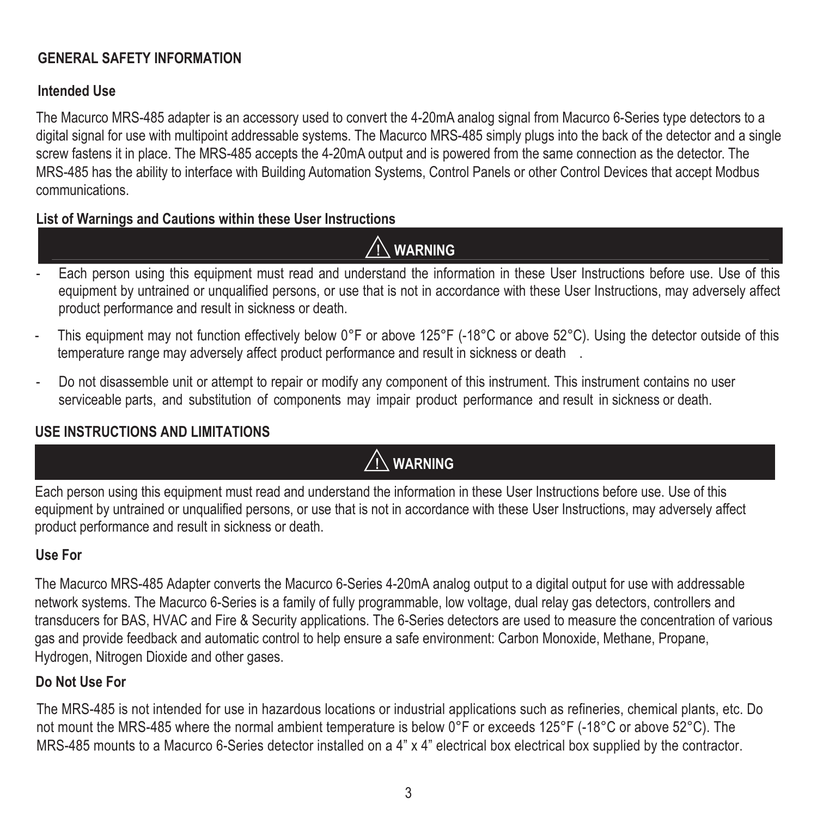### **GENERAL SAFETY INFORMATION**

### **Intended Use**

The Macurco MRS-485 adapter is an accessory used to convert the 4-20mA analog signal from Macurco 6-Series type detectors to a digital signal for use with multipoint addressable systems. The Macurco MRS-485 simply plugs into the back of the detector and a single screw fastens it in place. The MRS-485 accepts the 4-20mA output and is powered from the same connection as the detector. The MRS-485 has the ability to interface with Building Automation Systems, Control Panels or other Control Devices that accept Modbus communications.

## **List of Warnings and Cautions within these User Instructions**

 **! WARNING** 

- Each person using this equipment must read and understand the information in these User Instructions before use. Use of this equipment by untrained or unqualified persons, or use that is not in accordance with these User Instructions, may adversely affect product performance and result in sickness or death.
- This equipment may not function effectively below 0°F or above 125°F (-18°C or above 52°C). Using the detector outside of this temperature range may adversely affect product performance and result in sickness or death
- Do not disassemble unit or attempt to repair or modify any component of this instrument. This instrument contains no user serviceable parts, and substitution of components may impair product performance and result in sickness or death.

# **USE INSTRUCTIONS AND LIMITATIONS**

# **! WARNING**

Each person using this equipment must read and understand the information in these User Instructions before use. Use of this equipment by untrained or unqualified persons, or use that is not in accordance with these User Instructions, may adversely affect product performance and result in sickness or death.

# **Use For**

The Macurco MRS-485 Adapter converts the Macurco 6-Series 4-20mA analog output to a digital output for use with addressable network systems. The Macurco 6-Series is a family of fully programmable, low voltage, dual relay gas detectors, controllers and transducers for BAS, HVAC and Fire & Security applications. The 6-Series detectors are used to measure the concentration of various gas and provide feedback and automatic control to help ensure a safe environment: Carbon Monoxide, Methane, Propane, Hydrogen, Nitrogen Dioxide and other gases.

# **Do Not Use For**

The MRS-485 is not intended for use in hazardous locations or industrial applications such as refineries, chemical plants, etc. Do not mount the MRS-485 where the normal ambient temperature is below 0°F or exceeds 125°F (-18°C or above 52°C). The MRS-485 mounts to a Macurco 6-Series detector installed on a 4" x 4" electrical box electrical box supplied by the contractor.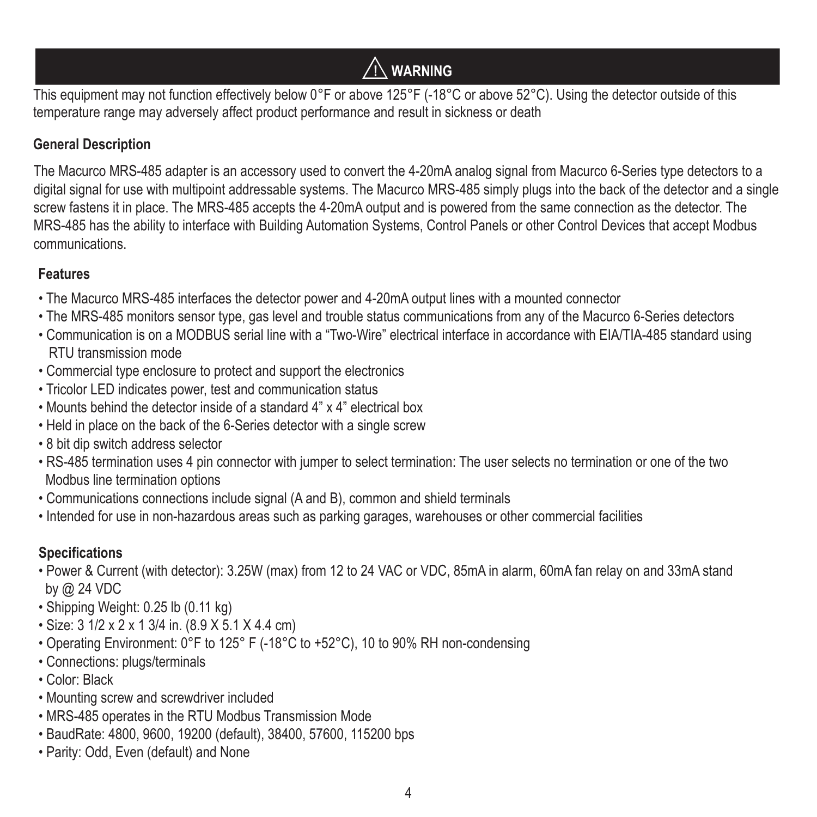# **! WARNING**

This equipment may not function effectively below 0°F or above 125°F (-18°C or above 52°C). Using the detector outside of this temperature range may adversely affect product performance and result in sickness or death

## **General Description**

The Macurco MRS-485 adapter is an accessory used to convert the 4-20mA analog signal from Macurco 6-Series type detectors to a digital signal for use with multipoint addressable systems. The Macurco MRS-485 simply plugs into the back of the detector and a single screw fastens it in place. The MRS-485 accepts the 4-20mA output and is powered from the same connection as the detector. The MRS-485 has the ability to interface with Building Automation Systems, Control Panels or other Control Devices that accept Modbus communications.

## **Features**

- The Macurco MRS-485 interfaces the detector power and 4-20mA output lines with a mounted connector
- The MRS-485 monitors sensor type, gas level and trouble status communications from any of the Macurco 6-Series detectors
- Communication is on a MODBUS serial line with a "Two-Wire" electrical interface in accordance with EIA/TIA-485 standard using RTU transmission mode
- Commercial type enclosure to protect and support the electronics
- Tricolor LED indicates power, test and communication status
- Mounts behind the detector inside of a standard 4" x 4" electrical box
- Held in place on the back of the 6-Series detector with a single screw
- 8 bit dip switch address selector
- RS-485 termination uses 4 pin connector with jumper to select termination: The user selects no termination or one of the two Modbus line termination options
- Communications connections include signal (A and B), common and shield terminals
- Intended for use in non-hazardous areas such as parking garages, warehouses or other commercial facilities

# **Specifications**

- Power & Current (with detector): 3.25W (max) from 12 to 24 VAC or VDC, 85mA in alarm, 60mA fan relay on and 33mA stand by @ 24 VDC
- Shipping Weight: 0.25 lb (0.11 kg)
- Size:  $3 \frac{1}{2} \times 2 \times 1 \frac{3}{4}$  in.  $(8.9 \times 5.1 \times 4.4 \text{ cm})$
- Operating Environment: 0°F to 125° F (-18°C to +52°C), 10 to 90% RH non-condensing
- Connections: plugs/terminals
- Color: Black
- Mounting screw and screwdriver included
- MRS-485 operates in the RTU Modbus Transmission Mode
- BaudRate: 4800, 9600, 19200 (default), 38400, 57600, 115200 bps
- Parity: Odd, Even (default) and None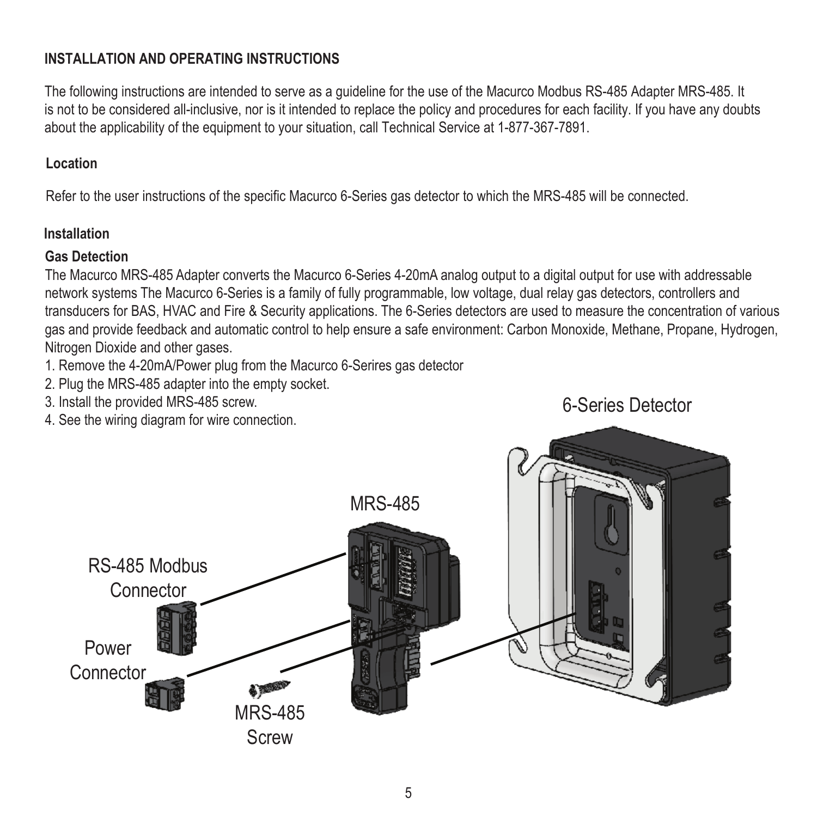### **INSTALLATION AND OPERATING INSTRUCTIONS**

The following instructions are intended to serve as a guideline for the use of the Macurco Modbus RS-485 Adapter MRS-485. It is not to be considered all-inclusive, nor is it intended to replace the policy and procedures for each facility. If you have any doubts about the applicability of the equipment to your situation, call Technical Service at 1-877-367-7891.

#### **Location**

Refer to the user instructions of the specific Macurco 6-Series gas detector to which the MRS-485 will be connected.

### **Installation**

#### **Gas Detection**

The Macurco MRS-485 Adapter converts the Macurco 6-Series 4-20mA analog output to a digital output for use with addressable network systems The Macurco 6-Series is a family of fully programmable, low voltage, dual relay gas detectors, controllers and transducers for BAS, HVAC and Fire & Security applications. The 6-Series detectors are used to measure the concentration of various gas and provide feedback and automatic control to help ensure a safe environment: Carbon Monoxide, Methane, Propane, Hydrogen, Nitrogen Dioxide and other gases.

- 1. Remove the 4-20mA/Power plug from the Macurco 6-Serires gas detector
- 2. Plug the MRS-485 adapter into the empty socket.
- 3. Install the provided MRS-485 screw.
- 4. See the wiring diagram for wire connection.



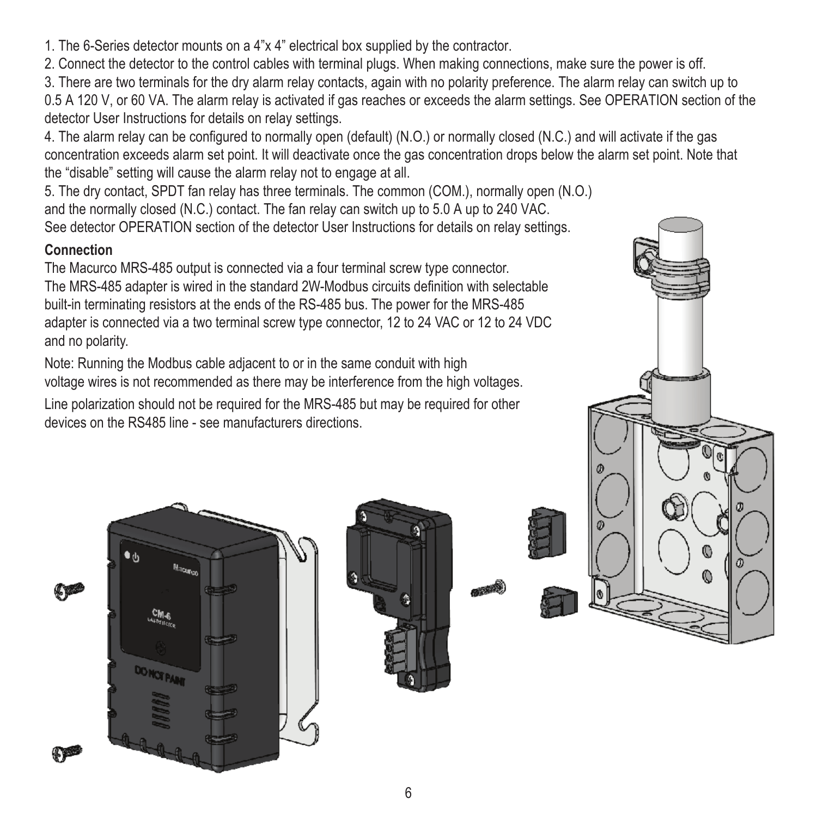1. The 6-Series detector mounts on a 4"x 4" electrical box supplied by the contractor.

2. Connect the detector to the control cables with terminal plugs. When making connections, make sure the power is off.

3. There are two terminals for the dry alarm relay contacts, again with no polarity preference. The alarm relay can switch up to 0.5 A 120 V, or 60 VA. The alarm relay is activated if gas reaches or exceeds the alarm settings. See OPERATION section of the detector User Instructions for details on relay settings.

4. The alarm relay can be configured to normally open (default) (N.O.) or normally closed (N.C.) and will activate if the gas concentration exceeds alarm set point. It will deactivate once the gas concentration drops below the alarm set point. Note that the "disable" setting will cause the alarm relay not to engage at all.

5. The dry contact, SPDT fan relay has three terminals. The common (COM.), normally open (N.O.) and the normally closed (N.C.) contact. The fan relay can switch up to 5.0 A up to 240 VAC. See detector OPERATION section of the detector User Instructions for details on relay settings.

#### **Connection**

The Macurco MRS-485 output is connected via a four terminal screw type connector. The MRS-485 adapter is wired in the standard 2W-Modbus circuits definition with selectable built-in terminating resistors at the ends of the RS-485 bus. The power for the MRS-485 adapter is connected via a two terminal screw type connector, 12 to 24 VAC or 12 to 24 VDC and no polarity.

Note: Running the Modbus cable adjacent to or in the same conduit with high voltage wires is not recommended as there may be interference from the high voltages.

Line polarization should not be required for the MRS-485 but may be required for other devices on the RS485 line - see manufacturers directions.







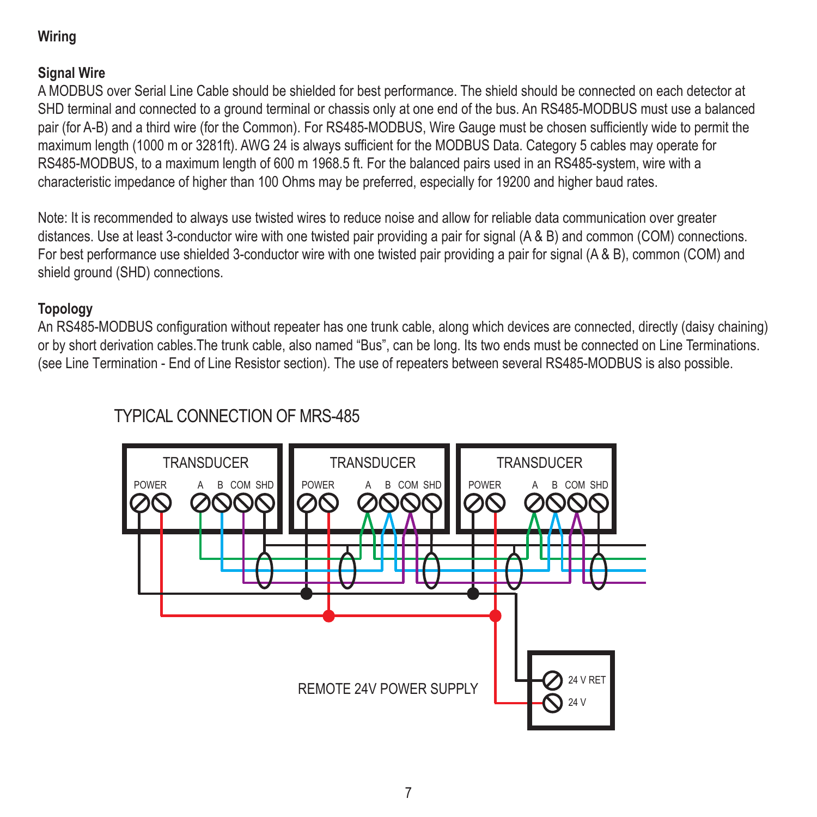# **Wiring**

### **Signal Wire**

A MODBUS over Serial Line Cable should be shielded for best performance. The shield should be connected on each detector at SHD terminal and connected to a ground terminal or chassis only at one end of the bus. An RS485-MODBUS must use a balanced pair (for A-B) and a third wire (for the Common). For RS485-MODBUS, Wire Gauge must be chosen sufficiently wide to permit the maximum length (1000 m or 3281ft). AWG 24 is always sufficient for the MODBUS Data. Category 5 cables may operate for RS485-MODBUS, to a maximum length of 600 m 1968.5 ft. For the balanced pairs used in an RS485-system, wire with a characteristic impedance of higher than 100 Ohms may be preferred, especially for 19200 and higher baud rates.

Note: It is recommended to always use twisted wires to reduce noise and allow for reliable data communication over greater distances. Use at least 3-conductor wire with one twisted pair providing a pair for signal (A & B) and common (COM) connections. For best performance use shielded 3-conductor wire with one twisted pair providing a pair for signal (A & B), common (COM) and shield ground (SHD) connections.

### **Topology**

An RS485-MODBUS configuration without repeater has one trunk cable, along which devices are connected, directly (daisy chaining) or by short derivation cables.The trunk cable, also named "Bus", can be long. Its two ends must be connected on Line Terminations. (see Line Termination - End of Line Resistor section). The use of repeaters between several RS485-MODBUS is also possible.

# TYPICAL CONNECTION OF MRS-485

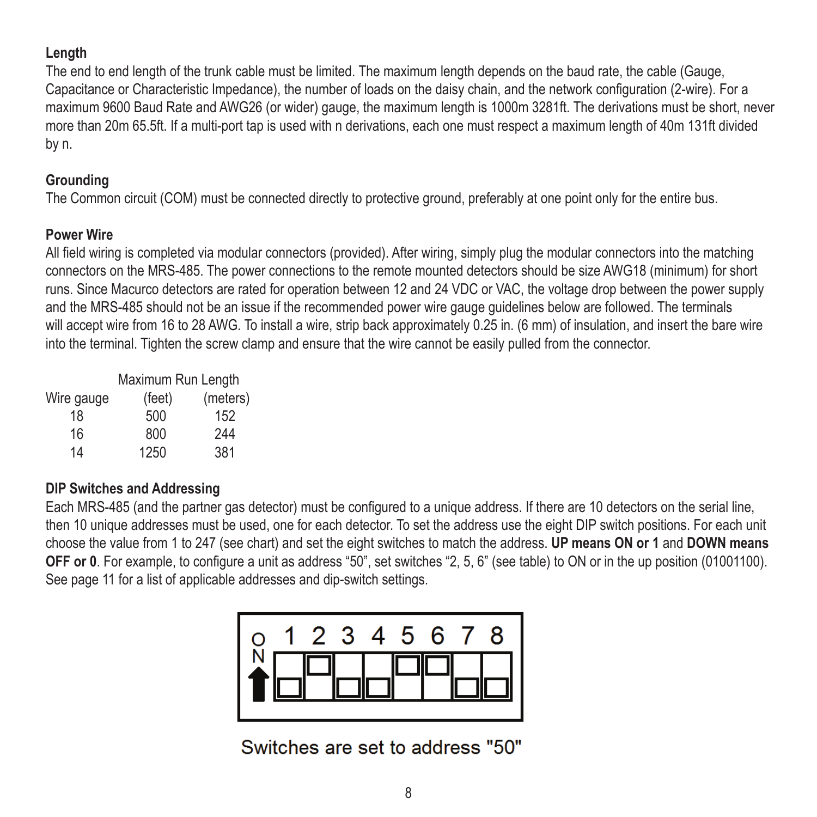#### **Length**

The end to end length of the trunk cable must be limited. The maximum length depends on the baud rate, the cable (Gauge, Capacitance or Characteristic Impedance), the number of loads on the daisy chain, and the network configuration (2-wire). For a maximum 9600 Baud Rate and AWG26 (or wider) gauge, the maximum length is 1000m 3281ft. The derivations must be short, never more than 20m 65.5ft. If a multi-port tap is used with n derivations, each one must respect a maximum length of 40m 131ft divided by n.

#### **Grounding**

The Common circuit (COM) must be connected directly to protective ground, preferably at one point only for the entire bus.

### **Power Wire**

All field wiring is completed via modular connectors (provided). After wiring, simply plug the modular connectors into the matching connectors on the MRS-485. The power connections to the remote mounted detectors should be size AWG18 (minimum) for short runs. Since Macurco detectors are rated for operation between 12 and 24 VDC or VAC, the voltage drop between the power supply and the MRS-485 should not be an issue if the recommended power wire gauge guidelines below are followed. The terminals will accept wire from 16 to 28 AWG. To install a wire, strip back approximately 0.25 in. (6 mm) of insulation, and insert the bare wire into the terminal. Tighten the screw clamp and ensure that the wire cannot be easily pulled from the connector.

|            | Maximum Run Length |          |  |
|------------|--------------------|----------|--|
| Wire gauge | (feet)             | (meters) |  |
| 18         | 500                | 152      |  |
| 16         | 800                | 244      |  |
| 14         | 1250               | 381      |  |

### **DIP Switches and Addressing**

Each MRS-485 (and the partner gas detector) must be configured to a unique address. If there are 10 detectors on the serial line, then 10 unique addresses must be used, one for each detector. To set the address use the eight DIP switch positions. For each unit choose the value from 1 to 247 (see chart) and set the eight switches to match the address. **UP means ON or 1** and **DOWN means OFF or 0**. For example, to configure a unit as address "50", set switches "2, 5, 6" (see table) to ON or in the up position (01001100). See page 11 for a list of applicable addresses and dip-switch settings.



Switches are set to address "50"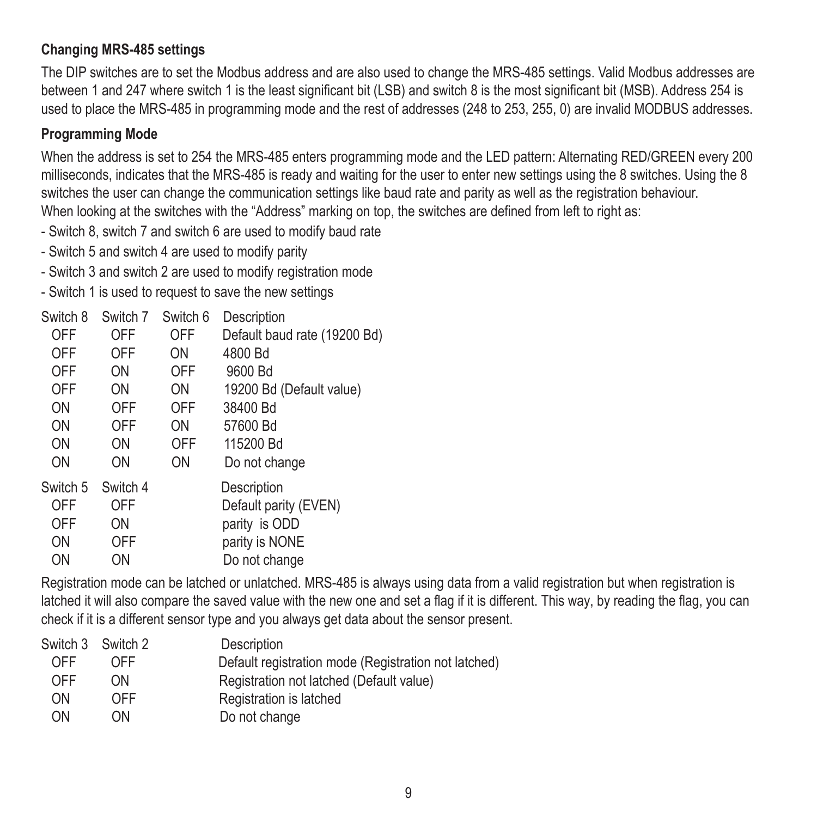### **Changing MRS-485 settings**

The DIP switches are to set the Modbus address and are also used to change the MRS-485 settings. Valid Modbus addresses are between 1 and 247 where switch 1 is the least significant bit (LSB) and switch 8 is the most significant bit (MSB). Address 254 is used to place the MRS-485 in programming mode and the rest of addresses (248 to 253, 255, 0) are invalid MODBUS addresses.

#### **Programming Mode**

When the address is set to 254 the MRS-485 enters programming mode and the LED pattern: Alternating RED/GREEN every 200 milliseconds, indicates that the MRS-485 is ready and waiting for the user to enter new settings using the 8 switches. Using the 8 switches the user can change the communication settings like baud rate and parity as well as the registration behaviour. When looking at the switches with the "Address" marking on top, the switches are defined from left to right as:

- Switch 8, switch 7 and switch 6 are used to modify baud rate

- Switch 5 and switch 4 are used to modify parity
- Switch 3 and switch 2 are used to modify registration mode
- Switch 1 is used to request to save the new settings

| Switch 8 | Switch 7 | Switch 6 | Description                  |
|----------|----------|----------|------------------------------|
| OFF      | OFF      | OFF      | Default baud rate (19200 Bd) |
| OFF      | OFF      | ON       | 4800 Bd                      |
| OFF      | ON       | OFF      | 9600 Bd                      |
| OFF      | ON       | ON       | 19200 Bd (Default value)     |
| ON       | OFF      | OFF      | 38400 Bd                     |
| ON       | OFF      | ON       | 57600 Bd                     |
| ON       | ON       | OFF      | 115200 Bd                    |
| ON       | ON       | ON       | Do not change                |
| Switch 5 | Switch 4 |          | Description                  |
| OFF      | OFF      |          | Default parity (EVEN)        |
| OFF      | ON       |          | parity is ODD                |
| ON       | OFF      |          | parity is NONE               |
| ON       | ON       |          | Do not change                |

Registration mode can be latched or unlatched. MRS-485 is always using data from a valid registration but when registration is latched it will also compare the saved value with the new one and set a flag if it is different. This way, by reading the flag, you can check if it is a different sensor type and you always get data about the sensor present.

|     | Switch 3 Switch 2 | Description                                          |
|-----|-------------------|------------------------------------------------------|
| OFF | OFF               | Default registration mode (Registration not latched) |
| OFF | ON                | Registration not latched (Default value)             |
| ON  | OFF               | Registration is latched                              |
| ON  | ON                | Do not change                                        |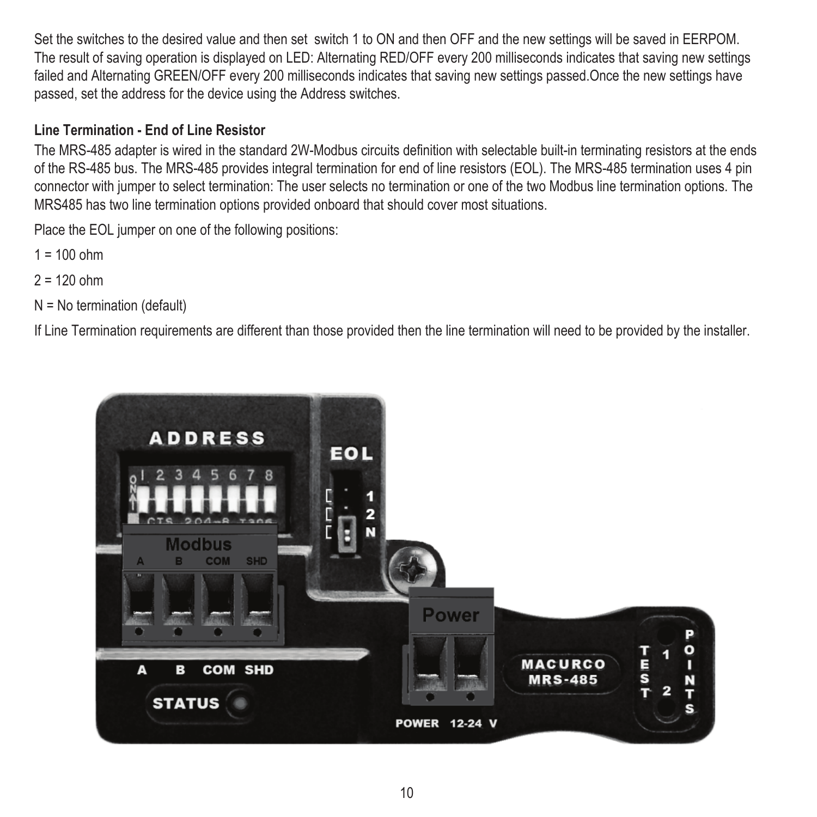Set the switches to the desired value and then set switch 1 to ON and then OFF and the new settings will be saved in EERPOM. The result of saving operation is displayed on LED: Alternating RED/OFF every 200 milliseconds indicates that saving new settings failed and Alternating GREEN/OFF every 200 milliseconds indicates that saving new settings passed.Once the new settings have passed, set the address for the device using the Address switches.

#### **Line Termination - End of Line Resistor**

The MRS-485 adapter is wired in the standard 2W-Modbus circuits definition with selectable built-in terminating resistors at the ends of the RS-485 bus. The MRS-485 provides integral termination for end of line resistors (EOL). The MRS-485 termination uses 4 pin connector with jumper to select termination: The user selects no termination or one of the two Modbus line termination options. The MRS485 has two line termination options provided onboard that should cover most situations.

Place the EOL jumper on one of the following positions:

- $1 = 100$  ohm
- $2 = 120$  ohm
- N = No termination (default)

If Line Termination requirements are different than those provided then the line termination will need to be provided by the installer.

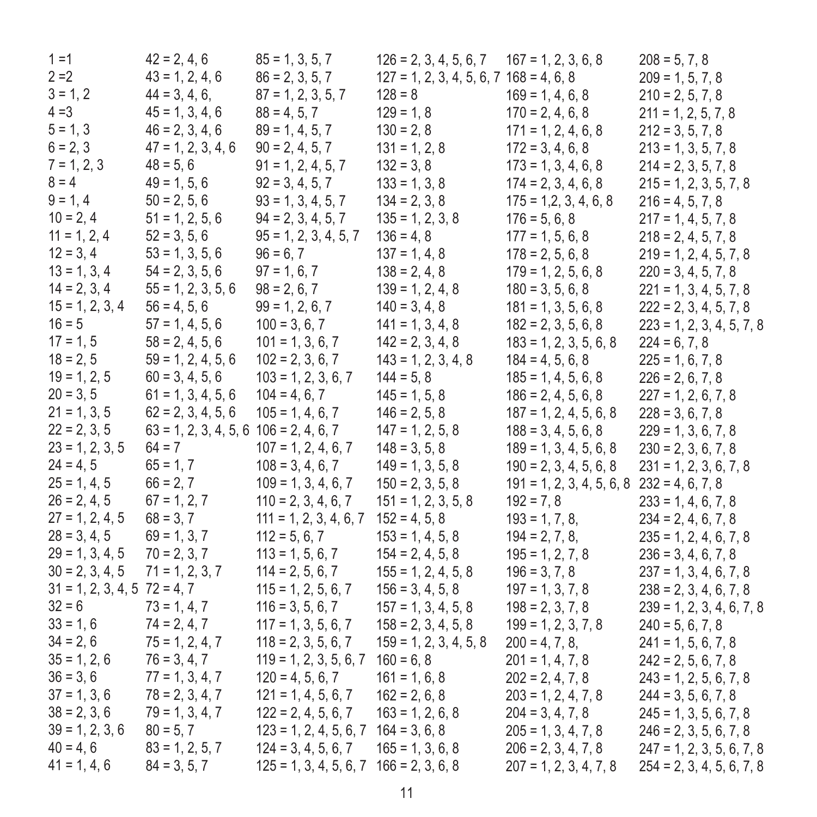| $1 = 1$                          | $42 = 2, 4, 6$                             | $85 = 1, 3, 5, 7$                           | $126 = 2, 3, 4, 5, 6, 7$ $167 = 1, 2, 3, 6, 8$ |                                                | $208 = 5, 7, 8$             |
|----------------------------------|--------------------------------------------|---------------------------------------------|------------------------------------------------|------------------------------------------------|-----------------------------|
| $2 = 2$                          | $43 = 1, 2, 4, 6$                          | $86 = 2, 3, 5, 7$                           | $127 = 1, 2, 3, 4, 5, 6, 7, 168 = 4, 6, 8$     |                                                | $209 = 1, 5, 7, 8$          |
| $3 = 1, 2$                       | $44 = 3, 4, 6.$                            | $87 = 1, 2, 3, 5, 7$                        | $128 = 8$                                      | $169 = 1, 4, 6, 8$                             | $210 = 2, 5, 7, 8$          |
| $4 = 3$                          | $45 = 1, 3, 4, 6$                          | $88 = 4, 5, 7$                              | $129 = 1.8$                                    | $170 = 2, 4, 6, 8$                             | $211 = 1, 2, 5, 7, 8$       |
| $5 = 1.3$                        | $46 = 2, 3, 4, 6$                          | $89 = 1, 4, 5, 7$                           | $130 = 2.8$                                    | $171 = 1, 2, 4, 6, 8$                          | $212 = 3, 5, 7, 8$          |
| $6 = 2, 3$                       | $47 = 1, 2, 3, 4, 6$                       | $90 = 2, 4, 5, 7$                           | $131 = 1, 2, 8$                                | $172 = 3, 4, 6, 8$                             | $213 = 1, 3, 5, 7, 8$       |
| $7 = 1, 2, 3$                    | $48 = 5, 6$                                | $91 = 1, 2, 4, 5, 7$                        | $132 = 3.8$                                    | $173 = 1, 3, 4, 6, 8$                          | $214 = 2, 3, 5, 7, 8$       |
| $8 = 4$                          | $49 = 1, 5, 6$                             | $92 = 3, 4, 5, 7$                           | $133 = 1, 3, 8$                                | $174 = 2, 3, 4, 6, 8$                          | $215 = 1, 2, 3, 5, 7, 8$    |
| $9 = 1.4$                        | $50 = 2.5.6$                               | $93 = 1, 3, 4, 5, 7$                        | $134 = 2, 3, 8$                                | $175 = 1,2,3,4,6,8$                            | $216 = 4, 5, 7, 8$          |
| $10 = 2, 4$                      | $51 = 1, 2, 5, 6$                          | $94 = 2, 3, 4, 5, 7$                        | $135 = 1, 2, 3, 8$                             | $176 = 5, 6, 8$                                | $217 = 1, 4, 5, 7, 8$       |
| $11 = 1, 2, 4$                   | $52 = 3, 5, 6$                             | $95 = 1, 2, 3, 4, 5, 7$                     | $136 = 4.8$                                    | $177 = 1, 5, 6, 8$                             | $218 = 2, 4, 5, 7, 8$       |
| $12 = 3, 4$                      | $53 = 1, 3, 5, 6$                          | $96 = 6.7$                                  | $137 = 1, 4, 8$                                | $178 = 2, 5, 6, 8$                             | $219 = 1, 2, 4, 5, 7, 8$    |
| $13 = 1, 3, 4$                   | $54 = 2, 3, 5, 6$                          | $97 = 1, 6, 7$                              | $138 = 2, 4, 8$                                | $179 = 1, 2, 5, 6, 8$                          | $220 = 3, 4, 5, 7, 8$       |
| $14 = 2, 3, 4$                   | $55 = 1, 2, 3, 5, 6$                       | $98 = 2, 6, 7$                              | $139 = 1, 2, 4, 8$                             | $180 = 3, 5, 6, 8$                             | $221 = 1, 3, 4, 5, 7, 8$    |
| $15 = 1, 2, 3, 4$                | $56 = 4.5.6$                               | $99 = 1, 2, 6, 7$                           | $140 = 3, 4, 8$                                | $181 = 1, 3, 5, 6, 8$                          | $222 = 2, 3, 4, 5, 7, 8$    |
| $16 = 5$                         | $57 = 1, 4, 5, 6$                          | $100 = 3, 6, 7$                             | $141 = 1, 3, 4, 8$                             | $182 = 2, 3, 5, 6, 8$                          | $223 = 1, 2, 3, 4, 5, 7, 8$ |
| $17 = 1.5$                       | $58 = 2, 4, 5, 6$                          | $101 = 1, 3, 6, 7$                          | $142 = 2, 3, 4, 8$                             | $183 = 1, 2, 3, 5, 6, 8$                       | $224 = 6, 7, 8$             |
| $18 = 2, 5$                      | $59 = 1, 2, 4, 5, 6$                       | $102 = 2, 3, 6, 7$                          | $143 = 1, 2, 3, 4, 8$                          | $184 = 4, 5, 6, 8$                             | $225 = 1, 6, 7, 8$          |
| $19 = 1, 2, 5$                   | $60 = 3, 4, 5, 6$                          | $103 = 1, 2, 3, 6, 7$                       | $144 = 5.8$                                    | $185 = 1, 4, 5, 6, 8$                          | $226 = 2, 6, 7, 8$          |
| $20 = 3.5$                       | $61 = 1, 3, 4, 5, 6$                       | $104 = 4, 6, 7$                             | $145 = 1, 5, 8$                                | $186 = 2, 4, 5, 6, 8$                          | $227 = 1, 2, 6, 7, 8$       |
| $21 = 1, 3, 5$                   | $62 = 2, 3, 4, 5, 6$                       | $105 = 1, 4, 6, 7$                          | $146 = 2, 5, 8$                                | $187 = 1, 2, 4, 5, 6, 8$                       | $228 = 3, 6, 7, 8$          |
| $22 = 2, 3, 5$                   | $63 = 1, 2, 3, 4, 5, 6$ $106 = 2, 4, 6, 7$ |                                             | $147 = 1, 2, 5, 8$                             | $188 = 3, 4, 5, 6, 8$                          | $229 = 1, 3, 6, 7, 8$       |
| $23 = 1, 2, 3, 5$                | $64 = 7$                                   | $107 = 1, 2, 4, 6, 7$                       | $148 = 3, 5, 8$                                | $189 = 1, 3, 4, 5, 6, 8$                       | $230 = 2, 3, 6, 7, 8$       |
| $24 = 4, 5$                      | $65 = 1, 7$                                | $108 = 3, 4, 6, 7$                          | $149 = 1, 3, 5, 8$                             | $190 = 2, 3, 4, 5, 6, 8$                       | $231 = 1, 2, 3, 6, 7, 8$    |
| $25 = 1, 4, 5$                   | $66 = 2, 7$                                | $109 = 1, 3, 4, 6, 7$                       | $150 = 2, 3, 5, 8$                             | $191 = 1, 2, 3, 4, 5, 6, 8$ $232 = 4, 6, 7, 8$ |                             |
| $26 = 2, 4, 5$                   | $67 = 1, 2, 7$                             | $110 = 2, 3, 4, 6, 7$                       | $151 = 1, 2, 3, 5, 8$                          | $192 = 7.8$                                    | $233 = 1, 4, 6, 7, 8$       |
| $27 = 1, 2, 4, 5$                | $68 = 3.7$                                 | $111 = 1, 2, 3, 4, 6, 7$                    | $152 = 4, 5, 8$                                | $193 = 1, 7, 8,$                               | $234 = 2, 4, 6, 7, 8$       |
| $28 = 3, 4, 5$                   | $69 = 1, 3, 7$                             | $112 = 5, 6, 7$                             | $153 = 1, 4, 5, 8$                             | $194 = 2, 7, 8,$                               | $235 = 1, 2, 4, 6, 7, 8$    |
| $29 = 1, 3, 4, 5$                | $70 = 2, 3, 7$                             | $113 = 1, 5, 6, 7$                          | $154 = 2, 4, 5, 8$                             | $195 = 1, 2, 7, 8$                             | $236 = 3, 4, 6, 7, 8$       |
| $30 = 2, 3, 4, 5$                | $71 = 1, 2, 3, 7$                          | $114 = 2, 5, 6, 7$                          | $155 = 1, 2, 4, 5, 8$                          | $196 = 3, 7, 8$                                | $237 = 1, 3, 4, 6, 7, 8$    |
| $31 = 1, 2, 3, 4, 5$ $72 = 4, 7$ |                                            | $115 = 1, 2, 5, 6, 7$                       | $156 = 3, 4, 5, 8$                             | $197 = 1, 3, 7, 8$                             | $238 = 2, 3, 4, 6, 7, 8$    |
| $32 = 6$                         | $73 = 1, 4, 7$                             | $116 = 3, 5, 6, 7$                          | $157 = 1, 3, 4, 5, 8$                          | $198 = 2, 3, 7, 8$                             | $239 = 1, 2, 3, 4, 6, 7, 8$ |
| $33 = 1, 6$                      | $74 = 2, 4, 7$                             | $117 = 1, 3, 5, 6, 7$                       | $158 = 2, 3, 4, 5, 8$                          | $199 = 1, 2, 3, 7, 8$                          | $240 = 5, 6, 7, 8$          |
| $34 = 2, 6$                      | $75 = 1, 2, 4, 7$                          | $118 = 2, 3, 5, 6, 7$                       | $159 = 1, 2, 3, 4, 5, 8$                       | $200 = 4, 7, 8,$                               | $241 = 1, 5, 6, 7, 8$       |
| $35 = 1, 2, 6$                   | $76 = 3, 4, 7$                             | $119 = 1, 2, 3, 5, 6, 7$ $160 = 6, 8$       |                                                | $201 = 1, 4, 7, 8$                             | $242 = 2, 5, 6, 7, 8$       |
| $36 = 3, 6$                      | $77 = 1, 3, 4, 7$                          | $120 = 4, 5, 6, 7$                          | $161 = 1, 6, 8$                                | $202 = 2, 4, 7, 8$                             | $243 = 1, 2, 5, 6, 7, 8$    |
| $37 = 1, 3, 6$                   | $78 = 2, 3, 4, 7$                          | $121 = 1, 4, 5, 6, 7$                       | $162 = 2, 6, 8$                                | $203 = 1, 2, 4, 7, 8$                          | $244 = 3, 5, 6, 7, 8$       |
| $38 = 2, 3, 6$                   | $79 = 1, 3, 4, 7$                          | $122 = 2, 4, 5, 6, 7$                       | $163 = 1, 2, 6, 8$                             | $204 = 3.4.7.8$                                | $245 = 1, 3, 5, 6, 7, 8$    |
| $39 = 1, 2, 3, 6$                | $80 = 5.7$                                 | $123 = 1, 2, 4, 5, 6, 7$ $164 = 3, 6, 8$    |                                                | $205 = 1, 3, 4, 7, 8$                          | $246 = 2, 3, 5, 6, 7, 8$    |
| $40 = 4, 6$                      | $83 = 1, 2, 5, 7$                          | $124 = 3, 4, 5, 6, 7$                       | $165 = 1, 3, 6, 8$                             | $206 = 2, 3, 4, 7, 8$                          | $247 = 1, 2, 3, 5, 6, 7, 8$ |
| $41 = 1, 4, 6$                   | $84 = 3, 5, 7$                             | $125 = 1, 3, 4, 5, 6, 7$ $166 = 2, 3, 6, 8$ |                                                | $207 = 1, 2, 3, 4, 7, 8$                       | $254 = 2, 3, 4, 5, 6, 7, 8$ |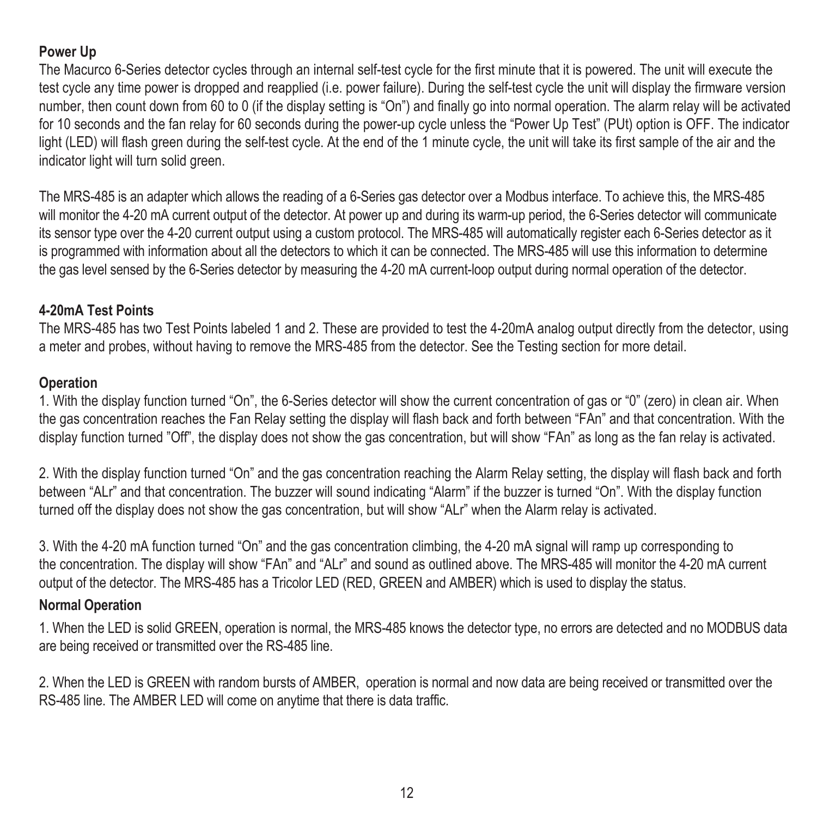### **Power Up**

The Macurco 6-Series detector cycles through an internal self-test cycle for the first minute that it is powered. The unit will execute the test cycle any time power is dropped and reapplied (i.e. power failure). During the self-test cycle the unit will display the firmware version number, then count down from 60 to 0 (if the display setting is "On") and finally go into normal operation. The alarm relay will be activated for 10 seconds and the fan relay for 60 seconds during the power-up cycle unless the "Power Up Test" (PUt) option is OFF. The indicator light (LED) will flash green during the self-test cycle. At the end of the 1 minute cycle, the unit will take its first sample of the air and the indicator light will turn solid green.

The MRS-485 is an adapter which allows the reading of a 6-Series gas detector over a Modbus interface. To achieve this, the MRS-485 will monitor the 4-20 mA current output of the detector. At power up and during its warm-up period, the 6-Series detector will communicate its sensor type over the 4-20 current output using a custom protocol. The MRS-485 will automatically register each 6-Series detector as it is programmed with information about all the detectors to which it can be connected. The MRS-485 will use this information to determine the gas level sensed by the 6-Series detector by measuring the 4-20 mA current-loop output during normal operation of the detector.

#### **4-20mA Test Points**

The MRS-485 has two Test Points labeled 1 and 2. These are provided to test the 4-20mA analog output directly from the detector, using a meter and probes, without having to remove the MRS-485 from the detector. See the Testing section for more detail.

#### **Operation**

1. With the display function turned "On", the 6-Series detector will show the current concentration of gas or "0" (zero) in clean air. When the gas concentration reaches the Fan Relay setting the display will flash back and forth between "FAn" and that concentration. With the display function turned "Off", the display does not show the gas concentration, but will show "FAn" as long as the fan relay is activated.

2. With the display function turned "On" and the gas concentration reaching the Alarm Relay setting, the display will flash back and forth between "ALr" and that concentration. The buzzer will sound indicating "Alarm" if the buzzer is turned "On". With the display function turned off the display does not show the gas concentration, but will show "ALr" when the Alarm relay is activated.

3. With the 4-20 mA function turned "On" and the gas concentration climbing, the 4-20 mA signal will ramp up corresponding to the concentration. The display will show "FAn" and "ALr" and sound as outlined above. The MRS-485 will monitor the 4-20 mA current output of the detector. The MRS-485 has a Tricolor LED (RED, GREEN and AMBER) which is used to display the status.

#### **Normal Operation**

1. When the LED is solid GREEN, operation is normal, the MRS-485 knows the detector type, no errors are detected and no MODBUS data are being received or transmitted over the RS-485 line.

2. When the LED is GREEN with random bursts of AMBER, operation is normal and now data are being received or transmitted over the RS-485 line. The AMBER LED will come on anytime that there is data traffic.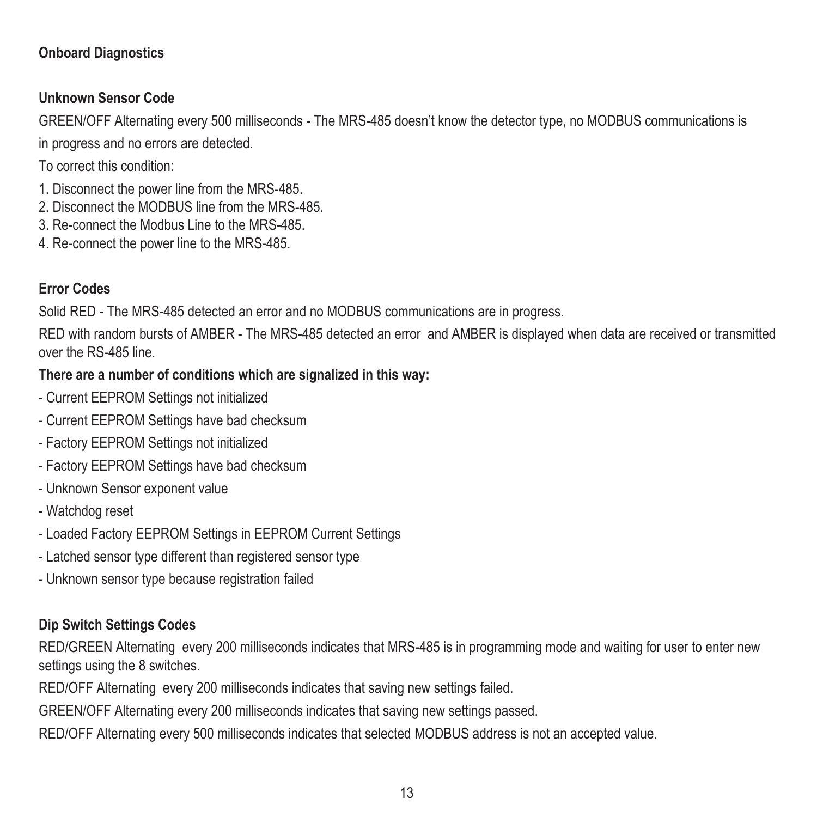#### **Onboard Diagnostics**

### **Unknown Sensor Code**

GREEN/OFF Alternating every 500 milliseconds - The MRS-485 doesn't know the detector type, no MODBUS communications is

in progress and no errors are detected.

To correct this condition:

- 1. Disconnect the power line from the MRS-485.
- 2. Disconnect the MODBUS line from the MRS-485.
- 3. Re-connect the Modbus Line to the MRS-485.
- 4. Re-connect the power line to the MRS-485.

## **Error Codes**

Solid RED - The MRS-485 detected an error and no MODBUS communications are in progress.

RED with random bursts of AMBER - The MRS-485 detected an error and AMBER is displayed when data are received or transmitted over the RS-485 line.

## **There are a number of conditions which are signalized in this way:**

- Current EEPROM Settings not initialized
- Current EEPROM Settings have bad checksum
- Factory EEPROM Settings not initialized
- Factory EEPROM Settings have bad checksum
- Unknown Sensor exponent value
- Watchdog reset
- Loaded Factory EEPROM Settings in EEPROM Current Settings
- Latched sensor type different than registered sensor type
- Unknown sensor type because registration failed

### **Dip Switch Settings Codes**

RED/GREEN Alternating every 200 milliseconds indicates that MRS-485 is in programming mode and waiting for user to enter new settings using the 8 switches.

RED/OFF Alternating every 200 milliseconds indicates that saving new settings failed.

GREEN/OFF Alternating every 200 milliseconds indicates that saving new settings passed.

RED/OFF Alternating every 500 milliseconds indicates that selected MODBUS address is not an accepted value.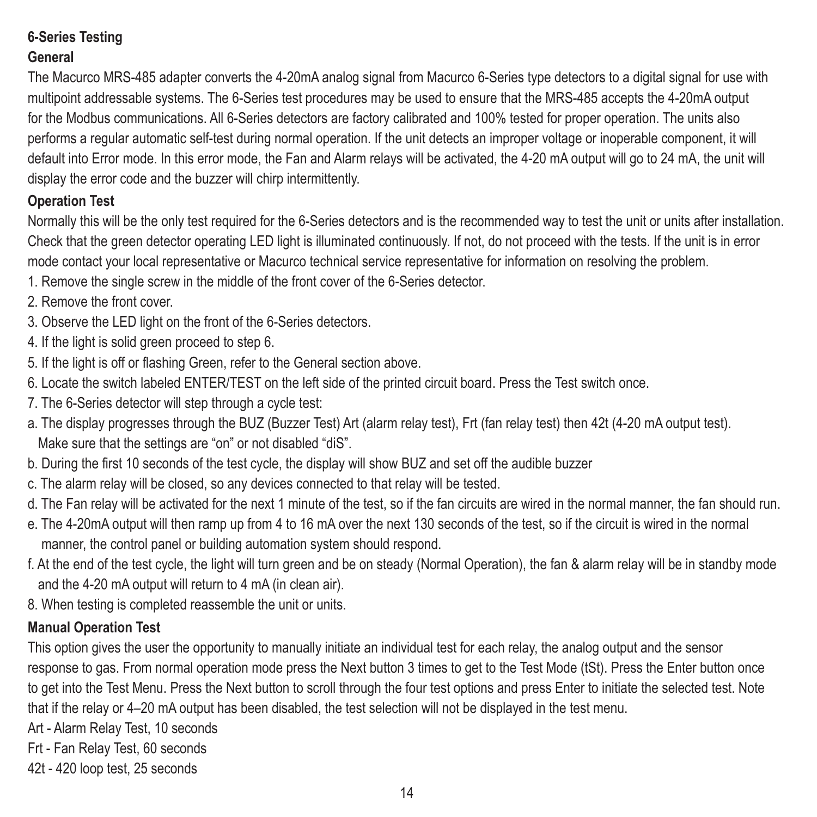# **6-Series Testing General**

The Macurco MRS-485 adapter converts the 4-20mA analog signal from Macurco 6-Series type detectors to a digital signal for use with multipoint addressable systems. The 6-Series test procedures may be used to ensure that the MRS-485 accepts the 4-20mA output for the Modbus communications. All 6-Series detectors are factory calibrated and 100% tested for proper operation. The units also performs a regular automatic self-test during normal operation. If the unit detects an improper voltage or inoperable component, it will default into Error mode. In this error mode, the Fan and Alarm relays will be activated, the 4-20 mA output will go to 24 mA, the unit will display the error code and the buzzer will chirp intermittently.

# **Operation Test**

Normally this will be the only test required for the 6-Series detectors and is the recommended way to test the unit or units after installation. Check that the green detector operating LED light is illuminated continuously. If not, do not proceed with the tests. If the unit is in error mode contact your local representative or Macurco technical service representative for information on resolving the problem.

- 1. Remove the single screw in the middle of the front cover of the 6-Series detector.
- 2. Remove the front cover.
- 3. Observe the LED light on the front of the 6-Series detectors.
- 4. If the light is solid green proceed to step 6.
- 5. If the light is off or flashing Green, refer to the General section above.
- 6. Locate the switch labeled ENTER/TEST on the left side of the printed circuit board. Press the Test switch once.
- 7. The 6-Series detector will step through a cycle test:
- a. The display progresses through the BUZ (Buzzer Test) Art (alarm relay test), Frt (fan relay test) then 42t (4-20 mA output test). Make sure that the settings are "on" or not disabled "diS".
- b. During the first 10 seconds of the test cycle, the display will show BUZ and set off the audible buzzer
- c. The alarm relay will be closed, so any devices connected to that relay will be tested.
- d. The Fan relay will be activated for the next 1 minute of the test, so if the fan circuits are wired in the normal manner, the fan should run.
- e. The 4-20mA output will then ramp up from 4 to 16 mA over the next 130 seconds of the test, so if the circuit is wired in the normal manner, the control panel or building automation system should respond.
- f. At the end of the test cycle, the light will turn green and be on steady (Normal Operation), the fan & alarm relay will be in standby mode and the 4-20 mA output will return to 4 mA (in clean air).
- 8. When testing is completed reassemble the unit or units.

# **Manual Operation Test**

This option gives the user the opportunity to manually initiate an individual test for each relay, the analog output and the sensor response to gas. From normal operation mode press the Next button 3 times to get to the Test Mode (tSt). Press the Enter button once to get into the Test Menu. Press the Next button to scroll through the four test options and press Enter to initiate the selected test. Note that if the relay or 4–20 mA output has been disabled, the test selection will not be displayed in the test menu.

Art - Alarm Relay Test, 10 seconds

Frt - Fan Relay Test, 60 seconds

42t - 420 loop test, 25 seconds